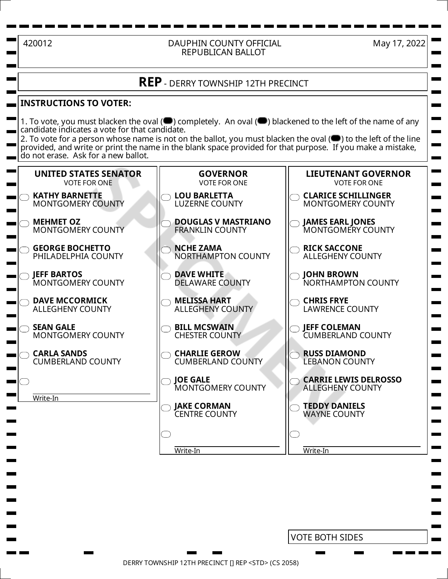## 420012 DAUPHIN COUNTY OFFICIAL REPUBLICAN BALLOT

May 17, 2022

## **REP**- DERRY TOWNSHIP 12TH PRECINCT

## **INSTRUCTIONS TO VOTER:**

1. To vote, you must blacken the oval (●) completely. An oval (●) blackened to the left of the name of any candidate indicates a vote for that candidate.

2. To vote for a person whose name is not on the ballot, you must blacken the oval ( $\blacksquare$ ) to the left of the line provided, and write or print the name in the blank space provided for that purpose. If you make a mistake, do not erase. Ask for a new ballot.